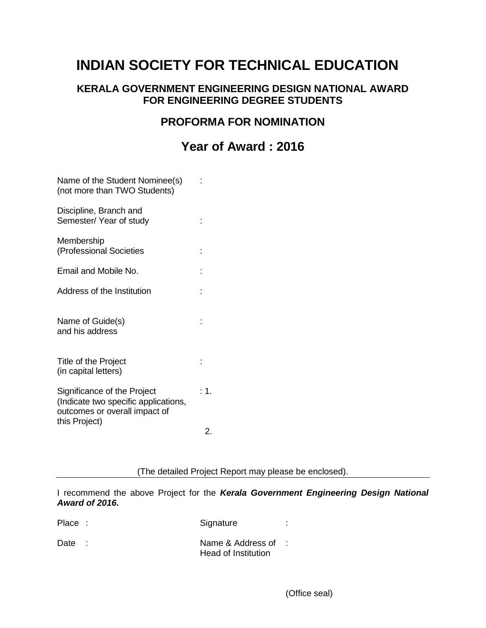# **INDIAN SOCIETY FOR TECHNICAL EDUCATION**

### **KERALA GOVERNMENT ENGINEERING DESIGN NATIONAL AWARD FOR ENGINEERING DEGREE STUDENTS**

### **PROFORMA FOR NOMINATION**

# **Year of Award : 2016**

| Name of the Student Nominee(s)<br>(not more than TWO Students)                                       |      |
|------------------------------------------------------------------------------------------------------|------|
| Discipline, Branch and<br>Semester/Year of study                                                     |      |
| Membership<br>(Professional Societies                                                                |      |
| Email and Mobile No.                                                                                 |      |
| Address of the Institution                                                                           |      |
| Name of Guide(s)<br>and his address                                                                  |      |
| Title of the Project<br>(in capital letters)                                                         |      |
| Significance of the Project<br>(Indicate two specific applications,<br>outcomes or overall impact of | : 1. |
| this Project)                                                                                        | 2.   |

(The detailed Project Report may please be enclosed).

I recommend the above Project for the *Kerala Government Engineering Design National Award of 2016***.**

| Place: | Signature                                  |  |
|--------|--------------------------------------------|--|
| Date   | Name & Address of :<br>Head of Institution |  |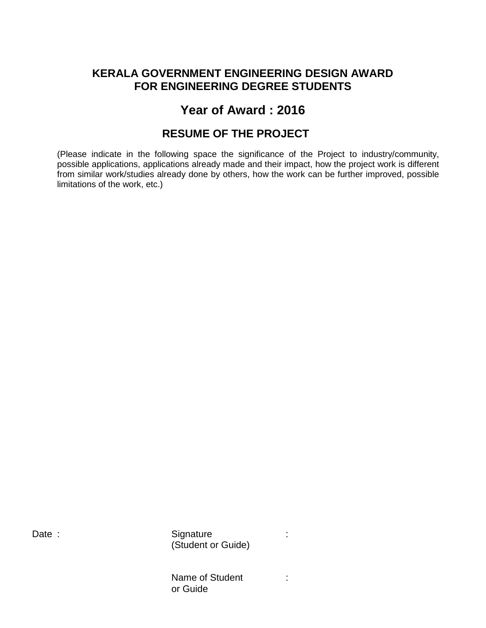### **KERALA GOVERNMENT ENGINEERING DESIGN AWARD FOR ENGINEERING DEGREE STUDENTS**

## **Year of Award : 2016**

### **RESUME OF THE PROJECT**

(Please indicate in the following space the significance of the Project to industry/community, possible applications, applications already made and their impact, how the project work is different from similar work/studies already done by others, how the work can be further improved, possible limitations of the work, etc.)

Date : Signature : Signature : State : Signature : Signature : Signature : State : State : State : State : State : State : State : State : State : State : State : State : State : State : State : State : State : State : Sta (Student or Guide)

> Name of Student : or Guide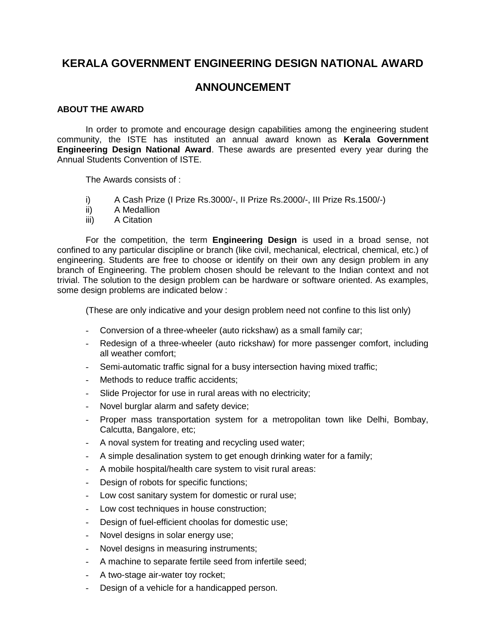### **KERALA GOVERNMENT ENGINEERING DESIGN NATIONAL AWARD**

### **ANNOUNCEMENT**

#### **ABOUT THE AWARD**

In order to promote and encourage design capabilities among the engineering student community, the ISTE has instituted an annual award known as **Kerala Government Engineering Design National Award**. These awards are presented every year during the Annual Students Convention of ISTE.

The Awards consists of :

- i) A Cash Prize (I Prize Rs.3000/-, II Prize Rs.2000/-, III Prize Rs.1500/-)
- ii) A Medallion
- iii) A Citation

For the competition, the term **Engineering Design** is used in a broad sense, not confined to any particular discipline or branch (like civil, mechanical, electrical, chemical, etc.) of engineering. Students are free to choose or identify on their own any design problem in any branch of Engineering. The problem chosen should be relevant to the Indian context and not trivial. The solution to the design problem can be hardware or software oriented. As examples, some design problems are indicated below :

(These are only indicative and your design problem need not confine to this list only)

- Conversion of a three-wheeler (auto rickshaw) as a small family car;
- Redesign of a three-wheeler (auto rickshaw) for more passenger comfort, including all weather comfort;
- Semi-automatic traffic signal for a busy intersection having mixed traffic;
- Methods to reduce traffic accidents;
- Slide Projector for use in rural areas with no electricity;
- Novel burglar alarm and safety device;
- Proper mass transportation system for a metropolitan town like Delhi, Bombay, Calcutta, Bangalore, etc;
- A noval system for treating and recycling used water;
- A simple desalination system to get enough drinking water for a family;
- A mobile hospital/health care system to visit rural areas:
- Design of robots for specific functions;
- Low cost sanitary system for domestic or rural use;
- Low cost techniques in house construction;
- Design of fuel-efficient choolas for domestic use;
- Novel designs in solar energy use;
- Novel designs in measuring instruments;
- A machine to separate fertile seed from infertile seed;
- A two-stage air-water toy rocket;
- Design of a vehicle for a handicapped person.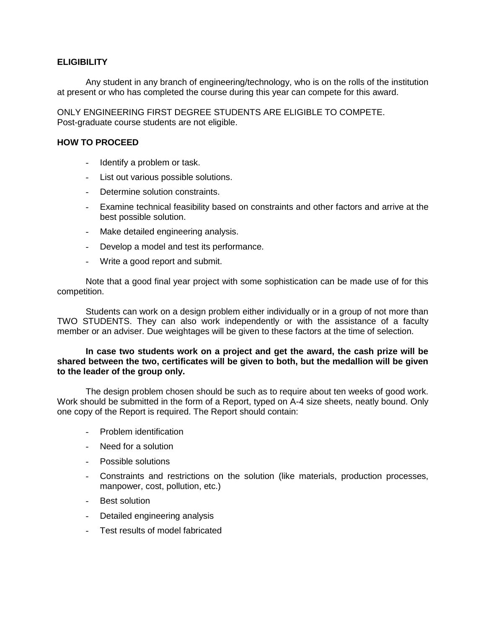#### **ELIGIBILITY**

Any student in any branch of engineering/technology, who is on the rolls of the institution at present or who has completed the course during this year can compete for this award.

ONLY ENGINEERING FIRST DEGREE STUDENTS ARE ELIGIBLE TO COMPETE. Post-graduate course students are not eligible.

#### **HOW TO PROCEED**

- Identify a problem or task.
- List out various possible solutions.
- Determine solution constraints.
- Examine technical feasibility based on constraints and other factors and arrive at the best possible solution.
- Make detailed engineering analysis.
- Develop a model and test its performance.
- Write a good report and submit.

Note that a good final year project with some sophistication can be made use of for this competition.

Students can work on a design problem either individually or in a group of not more than TWO STUDENTS. They can also work independently or with the assistance of a faculty member or an adviser. Due weightages will be given to these factors at the time of selection.

#### **In case two students work on a project and get the award, the cash prize will be shared between the two, certificates will be given to both, but the medallion will be given to the leader of the group only.**

The design problem chosen should be such as to require about ten weeks of good work. Work should be submitted in the form of a Report, typed on A-4 size sheets, neatly bound. Only one copy of the Report is required. The Report should contain:

- Problem identification
- Need for a solution
- Possible solutions
- Constraints and restrictions on the solution (like materials, production processes, manpower, cost, pollution, etc.)
- Best solution
- Detailed engineering analysis
- Test results of model fabricated